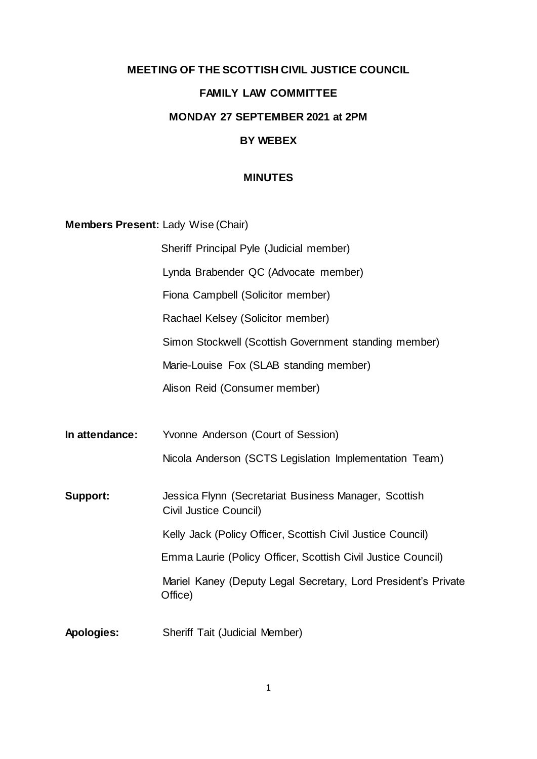# **MEETING OF THE SCOTTISH CIVIL JUSTICE COUNCIL FAMILY LAW COMMITTEE MONDAY 27 SEPTEMBER 2021 at 2PM BY WEBEX**

#### **MINUTES**

**Members Present:** Lady Wise (Chair)

Sheriff Principal Pyle (Judicial member) Lynda Brabender QC (Advocate member) Fiona Campbell (Solicitor member) Rachael Kelsey (Solicitor member) Simon Stockwell (Scottish Government standing member) Marie-Louise Fox (SLAB standing member) Alison Reid (Consumer member) **In attendance:** Yvonne Anderson (Court of Session) Nicola Anderson (SCTS Legislation Implementation Team) **Support:** Jessica Flynn (Secretariat Business Manager, Scottish Civil Justice Council) Kelly Jack (Policy Officer, Scottish Civil Justice Council) Emma Laurie (Policy Officer, Scottish Civil Justice Council) Mariel Kaney (Deputy Legal Secretary, Lord President's Private Office)

**Apologies:** Sheriff Tait (Judicial Member)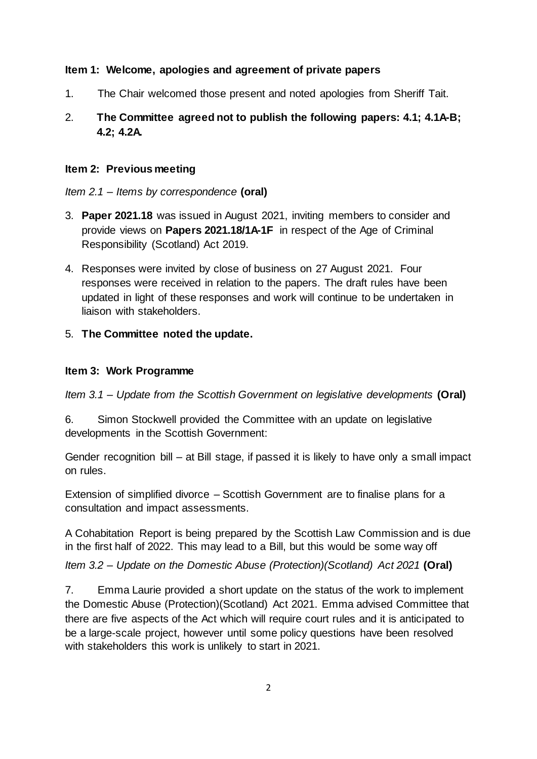### **Item 1: Welcome, apologies and agreement of private papers**

1. The Chair welcomed those present and noted apologies from Sheriff Tait.

# 2. **The Committee agreed not to publish the following papers: 4.1; 4.1A-B; 4.2; 4.2A.**

#### **Item 2: Previous meeting**

*Item 2.1 – Items by correspondence* **(oral)**

- 3. **Paper 2021.18** was issued in August 2021, inviting members to consider and provide views on **Papers 2021.18/1A-1F** in respect of the Age of Criminal Responsibility (Scotland) Act 2019.
- 4. Responses were invited by close of business on 27 August 2021. Four responses were received in relation to the papers. The draft rules have been updated in light of these responses and work will continue to be undertaken in liaison with stakeholders.
- 5. **The Committee noted the update.**

### **Item 3: Work Programme**

*Item 3.1 – Update from the Scottish Government on legislative developments* **(Oral)**

6. Simon Stockwell provided the Committee with an update on legislative developments in the Scottish Government:

Gender recognition bill – at Bill stage, if passed it is likely to have only a small impact on rules.

Extension of simplified divorce – Scottish Government are to finalise plans for a consultation and impact assessments.

A Cohabitation Report is being prepared by the Scottish Law Commission and is due in the first half of 2022. This may lead to a Bill, but this would be some way off

*Item 3.2 – Update on the Domestic Abuse (Protection)(Scotland) Act 2021* **(Oral)**

7. Emma Laurie provided a short update on the status of the work to implement the Domestic Abuse (Protection)(Scotland) Act 2021. Emma advised Committee that there are five aspects of the Act which will require court rules and it is anticipated to be a large-scale project, however until some policy questions have been resolved with stakeholders this work is unlikely to start in 2021.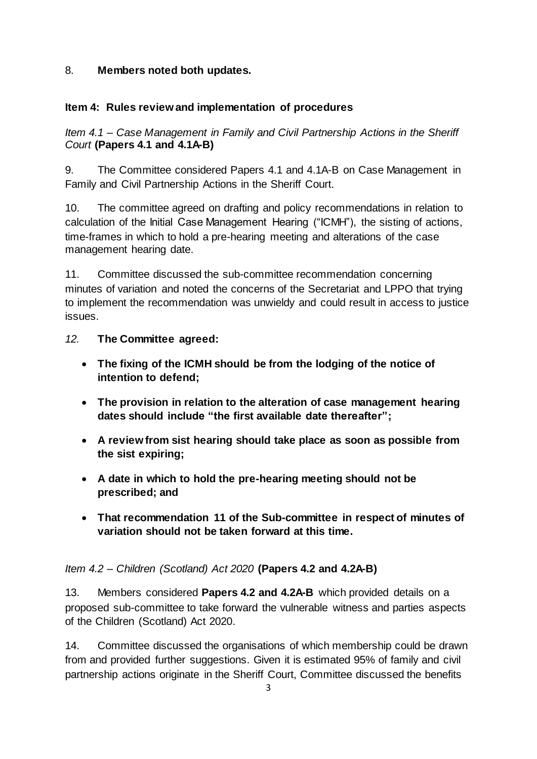### 8. **Members noted both updates.**

### **Item 4: Rules review and implementation of procedures**

*Item 4.1 – Case Management in Family and Civil Partnership Actions in the Sheriff Court* **(Papers 4.1 and 4.1A-B)**

9. The Committee considered Papers 4.1 and 4.1A-B on Case Management in Family and Civil Partnership Actions in the Sheriff Court.

10. The committee agreed on drafting and policy recommendations in relation to calculation of the Initial Case Management Hearing ("ICMH"), the sisting of actions, time-frames in which to hold a pre-hearing meeting and alterations of the case management hearing date.

11. Committee discussed the sub-committee recommendation concerning minutes of variation and noted the concerns of the Secretariat and LPPO that trying to implement the recommendation was unwieldy and could result in access to justice issues.

### *12.* **The Committee agreed:**

- **The fixing of the ICMH should be from the lodging of the notice of intention to defend;**
- **The provision in relation to the alteration of case management hearing dates should include "the first available date thereafter";**
- **A review from sist hearing should take place as soon as possible from the sist expiring;**
- **A date in which to hold the pre-hearing meeting should not be prescribed; and**
- **That recommendation 11 of the Sub-committee in respect of minutes of variation should not be taken forward at this time.**

# *Item 4.2 – Children (Scotland) Act 2020* **(Papers 4.2 and 4.2A-B)**

13. Members considered **Papers 4.2 and 4.2A-B** which provided details on a proposed sub-committee to take forward the vulnerable witness and parties aspects of the Children (Scotland) Act 2020.

14. Committee discussed the organisations of which membership could be drawn from and provided further suggestions. Given it is estimated 95% of family and civil partnership actions originate in the Sheriff Court, Committee discussed the benefits